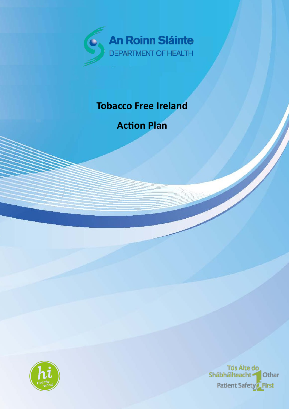

## **Tobacco Free Ireland**

**Action Plan**



Tús Áite do<br>Shábháilteacht <del>-</del> Othar Patient Safety<sup>2</sup> First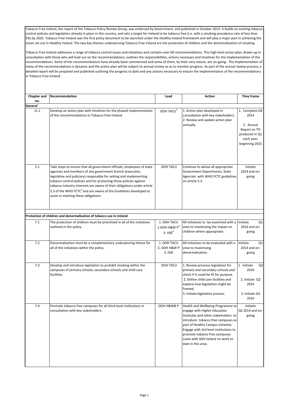Tobacco Free Ireland, the report of the Tobacco Policy Review Group, was endorsed by Government, and published in October 2013. It builds on existing tobacco control policies and legislation already in place in this country, and sets a target for Ireland to be tobacco free (i.e. with a smoking prevalence rate of less than 5%) by 2025. Tobacco Free Ireland was the first policy document to be launched under the Healthy Ireland framework and will play a major part in achieving the vision set out in Healthy Ireland. The two key themes underpinning Tobacco Free Ireland are the protection of children and the denormalisation of smoking.

Tobacco Free Ireland addresses a range of tobacco control issues and initiatives and contains over 60 recommendations. This high level action plan, drawn up in consultation with those who will lead out on the recommendations, outlines the responsibilities, actions necessary and timelines for the implementation of the recommendations. Some of the recommendations have already been commenced and some of them, by their very nature, are on-going. The implementation of many of the recommendations is dynamic and the action plan will be subject to annual review so as to monitor progress. As part of the annual review process, a detailed report will be prepared and published outlining the progress to date and any actions necessary to ensure the implementation of the recommendations in Tobacco Free Ireland.

|                | Recommendation                                                                                                                                                                                                                                                                                                                                                                                                                                                                       |                                                         |                                                                                                                                                                                                                                                                                                                              | <b>Time frame</b>                                                                                      |
|----------------|--------------------------------------------------------------------------------------------------------------------------------------------------------------------------------------------------------------------------------------------------------------------------------------------------------------------------------------------------------------------------------------------------------------------------------------------------------------------------------------|---------------------------------------------------------|------------------------------------------------------------------------------------------------------------------------------------------------------------------------------------------------------------------------------------------------------------------------------------------------------------------------------|--------------------------------------------------------------------------------------------------------|
| Chapter and    |                                                                                                                                                                                                                                                                                                                                                                                                                                                                                      | Lead                                                    | <b>Action</b>                                                                                                                                                                                                                                                                                                                |                                                                                                        |
| no.<br>General |                                                                                                                                                                                                                                                                                                                                                                                                                                                                                      |                                                         |                                                                                                                                                                                                                                                                                                                              |                                                                                                        |
| 11.1           | Develop an action plan with timelines for the phased implementation<br>of the recommendations in Tobacco Free Ireland.                                                                                                                                                                                                                                                                                                                                                               | DOH TACU <sup>1</sup>                                   | 1. Action plan developed in<br>consultation with key stakeholders.<br>2. Review and update action plan<br>annually.                                                                                                                                                                                                          | 1. Complete Q4<br>2014<br>2. Annual<br>Report on TFI<br>produced in Q1<br>each year,<br>beginning 2015 |
| 5.1            | Take steps to ensure that all government officials, employees of state<br>agencies and members of any government branch (executive,<br>legislative and judiciary) responsible for setting and implementing<br>tobacco control policies and for protecting those policies against<br>tobacco industry interests are aware of their obligations under article<br>5.3 of the WHO FCTC <sup>2</sup> and are aware of the Guidelines developed to<br>assist in meeting these obligations. | DOH TACU                                                | Continue to advise all appropriate<br>Government Departments, State<br>Agencies with WHO FCTC guidelines<br>on article 5.3.                                                                                                                                                                                                  | Initiate<br>2014 and on-<br>going                                                                      |
|                |                                                                                                                                                                                                                                                                                                                                                                                                                                                                                      |                                                         |                                                                                                                                                                                                                                                                                                                              |                                                                                                        |
|                | Protection of children and denormalisation of tobacco use in Ireland                                                                                                                                                                                                                                                                                                                                                                                                                 |                                                         |                                                                                                                                                                                                                                                                                                                              |                                                                                                        |
| 7.1            | The protection of children must be prioritised in all of the initiatives<br>outlined in the policy.                                                                                                                                                                                                                                                                                                                                                                                  | 1. DOH TACU<br>2.DOH H&W $P^3$<br>$3.$ HSE <sup>4</sup> | All initiatives to be examined with a<br>view to maximising the impact on<br>children where appropriate.                                                                                                                                                                                                                     | Initiate<br>Q1<br>2014 and on-<br>going                                                                |
| 7.2            | Denormalisation must be a complementary underpinning theme for<br>all of the initiatives within the policy.                                                                                                                                                                                                                                                                                                                                                                          | 1. DOH TACU<br>2. DOH H&W P<br>3. HSE                   | All initiatives to be evaluated with a<br>view to maximising<br>denormalisation.                                                                                                                                                                                                                                             | Initiate<br>Q1<br>2014 and on-<br>going                                                                |
| 7.3            | Develop and introduce legislation to prohibit smoking within the<br>campuses of primary schools, secondary schools and child care<br>facilities.                                                                                                                                                                                                                                                                                                                                     | DOH TACU                                                | 1. Review previous legislation for<br>primary and secondary schools and<br>check if it could be fit for purpose.<br>2. Define child care facilities and<br>explore how legislation might be<br>framed.<br>3. Initiate legislative process.                                                                                   | 1. Initiate<br>Q <sub>2</sub><br>2016<br>2. Initiate Q2<br>2016<br>3. Initiate Q3<br>2016              |
| 7.4            | Promote tobacco free campuses for all third-level institutions in<br>consultation with key stakeholders.                                                                                                                                                                                                                                                                                                                                                                             | DOH H&WB P                                              | Health and Wellbeing Programme to<br>engage with Higher Education<br>Institutes and other stakeholders to<br>introduce tobacco free campuses as<br>part of Healthy Campus initiative.<br>Engage with 3rd level institutions to<br>promote tobacco free campuses.<br>Liaise with ASH Ireland on work to<br>date in this area. | Initiate<br>Q2 2014 and on-<br>going                                                                   |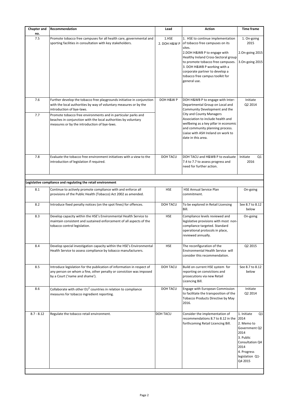| <b>Chapter and</b><br>no. | Recommendation                                                                                                                                                                                                                                                                                                                                              | Lead                  | Action                                                                                                                                                                                                                                                                                                               | <b>Time frame</b>                                                                                                                                     |
|---------------------------|-------------------------------------------------------------------------------------------------------------------------------------------------------------------------------------------------------------------------------------------------------------------------------------------------------------------------------------------------------------|-----------------------|----------------------------------------------------------------------------------------------------------------------------------------------------------------------------------------------------------------------------------------------------------------------------------------------------------------------|-------------------------------------------------------------------------------------------------------------------------------------------------------|
| 7.5                       | Promote tobacco free campuses for all health care, governmental and<br>sporting facilities in consultation with key stakeholders.                                                                                                                                                                                                                           | 1.HSE<br>2. DOH H&W P | 1. HSE to continue implementation<br>of tobacco free campuses on its<br>sites.<br>2.DOH H&WB P to engage with<br>Healthy Ireland Cross-Sectoral group<br>to promote tobacco free campuses.<br>3. DOH H&WB P working with a<br>corporate partner to develop a<br>tobacco free campus toolkit for<br>general use.      | 1. On-going<br>2015<br>2.0n-going 2015<br>3.0n-going 2015                                                                                             |
| 7.6<br>7.7                | Further develop the tobacco free playgrounds initiative in conjunction<br>with the local authorities by way of voluntary measures or by the<br>introduction of bye-laws.<br>Promote tobacco free environments and in particular parks and<br>beaches in conjunction with the local authorities by voluntary<br>measures or by the introduction of bye-laws. | DOH H&W P             | DOH H&WB P to engage with Inter-<br>Departmental Group on Local and<br>Community Development and the<br><b>City and County Managers</b><br>Association to include health and<br>wellbeing as a key pillar in economic<br>and community planning process.<br>Liaise with ASH Ireland on work to<br>date in this area. | Initiate<br>Q2 2014                                                                                                                                   |
| 7.8                       | Evaluate the tobacco free environment initiatives with a view to the<br>introduction of legislation if required.                                                                                                                                                                                                                                            | DOH TACU              | DOH TACU and H&WB P to evaluate<br>7.4 to 7.7 to assess progress and<br>need for further action.                                                                                                                                                                                                                     | Initiate<br>Q1<br>2016                                                                                                                                |
|                           | Legislative compliance and regulating the retail environment                                                                                                                                                                                                                                                                                                |                       |                                                                                                                                                                                                                                                                                                                      |                                                                                                                                                       |
| 8.1                       | Continue to actively promote compliance with and enforce all<br>provisions of the Public Health (Tobacco) Act 2002 as amended.                                                                                                                                                                                                                              | <b>HSE</b>            | <b>HSE Annual Service Plan</b><br>commitment.                                                                                                                                                                                                                                                                        | On-going                                                                                                                                              |
| 8.2                       | Introduce fixed penalty notices (on the spot fines) for offences.                                                                                                                                                                                                                                                                                           | DOH TACU              | To be explored in Retail Licensing<br>Bill.                                                                                                                                                                                                                                                                          | See 8.7 to 8.12<br>below                                                                                                                              |
| 8.3                       | Develop capacity within the HSE's Environmental Health Service to<br>maintain consistent and sustained enforcement of all aspects of the<br>tobacco control legislation.                                                                                                                                                                                    | <b>HSE</b>            | Compliance levels reviewed and<br>legislative provisions with most non-<br>compliance targeted. Standard<br>operational protocols in place,<br>reviewed annually.                                                                                                                                                    | On-going                                                                                                                                              |
| 8.4                       | Develop special investigation capacity within the HSE's Environmental<br>Health Service to assess compliance by tobacco manufacturers.                                                                                                                                                                                                                      | <b>HSE</b>            | The reconfiguration of the<br>Environmental Health Service will<br>consider this recommendation.                                                                                                                                                                                                                     | Q2 2015                                                                                                                                               |
| 8.5                       | Introduce legislation for the publication of information in respect of<br>any person on whom a fine, other penalty or conviction was imposed<br>by a Court ('name and shame').                                                                                                                                                                              | DOH TACU              | Build on current HSE system for<br>reporting on convictions and<br>prosecutions via new Retail<br>Licencing Bill.                                                                                                                                                                                                    | See 8.7 to 8.12<br>below                                                                                                                              |
| 8.6                       | Collaborate with other EU <sup>5</sup> countries in relation to compliance<br>measures for tobacco ingredient reporting.                                                                                                                                                                                                                                    | DOH TACU              | Engage with European Commission<br>to facilitate the transposition of the<br>Tobacco Products Directive by May<br>2016.                                                                                                                                                                                              | Initiate<br>Q2 2014                                                                                                                                   |
| $8.7 - 8.12$              | Regulate the tobacco retail environment.                                                                                                                                                                                                                                                                                                                    | DOH TACU              | Consider the implementation of<br>recommendations 8.7 to 8.12 in the<br>forthcoming Retail Licencing Bill.                                                                                                                                                                                                           | 1. Initiate<br>Q1<br>2014<br>2. Memo to<br>Government Q2<br>2014<br>3. Public<br>Consultation Q4<br>2014<br>4. Progress<br>legislation Q1-<br>Q4 2015 |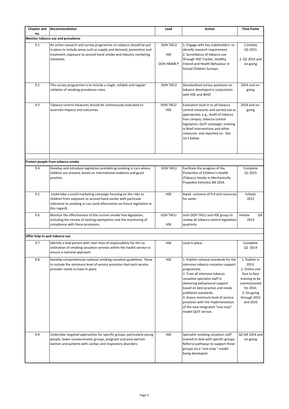| <b>Chapter and</b>             | Recommendation                                                                                                                                                                                                           | Lead                          | <b>Action</b>                                                                                                                                                                                                                                                                                                                                                                                     | <b>Time frame</b>                                                                                                                                 |
|--------------------------------|--------------------------------------------------------------------------------------------------------------------------------------------------------------------------------------------------------------------------|-------------------------------|---------------------------------------------------------------------------------------------------------------------------------------------------------------------------------------------------------------------------------------------------------------------------------------------------------------------------------------------------------------------------------------------------|---------------------------------------------------------------------------------------------------------------------------------------------------|
| no.                            | Monitor tobacco use and prevalence                                                                                                                                                                                       |                               |                                                                                                                                                                                                                                                                                                                                                                                                   |                                                                                                                                                   |
| 9.1                            | An active research and survey programme on tobacco should be put                                                                                                                                                         | <b>DOH TACU</b>               | 1. Engage with key stakeholders to                                                                                                                                                                                                                                                                                                                                                                | 1.Initiate                                                                                                                                        |
|                                | in place to include areas such as supply and demand, prevention and<br>treatment, exposure to second-hand smoke and industry marketing<br>initiatives.                                                                   | <b>HSE</b><br>DOH H&WB P      | identify research requirement.<br>2. Surveillance of tobacco use<br>through HSE Tracker, Healthy<br>Ireland and Health Behaviour in<br>School Children Surveys.                                                                                                                                                                                                                                   | Q1 2015<br>2. Q2 2014 and<br>on-going                                                                                                             |
|                                |                                                                                                                                                                                                                          |                               |                                                                                                                                                                                                                                                                                                                                                                                                   |                                                                                                                                                   |
| 9.2                            | This survey programme is to include a single, reliable and regular<br>collation of smoking prevalence rates.                                                                                                             | <b>DOH TACU</b>               | Standardised survey questions on<br>tobacco developed in conjunction<br>with HSE and WHO                                                                                                                                                                                                                                                                                                          | 2014 and on-<br>going                                                                                                                             |
| 9.3                            | Tobacco control measures should be continuously evaluated to<br>ascertain impacts and outcomes.                                                                                                                          | DOH TACU<br><b>HSE</b>        | Evaluation built in to all tobacco<br>control measures and carried out as<br>appropriate, e.g., Audit of tobacco<br>free campus, tobacco control<br>legislation, QUIT campaign, training<br>in Brief Interventions and other<br>measures and reported on. See<br>10.3 below.                                                                                                                      | 2014 and on-<br>going                                                                                                                             |
|                                |                                                                                                                                                                                                                          |                               |                                                                                                                                                                                                                                                                                                                                                                                                   |                                                                                                                                                   |
|                                | Protect people from tobacco smoke                                                                                                                                                                                        |                               |                                                                                                                                                                                                                                                                                                                                                                                                   |                                                                                                                                                   |
| 9.4                            | Develop and introduce legislation prohibiting smoking in cars where<br>children are present, based on international evidence and good<br>practice.                                                                       | <b>DOH TACU</b>               | Facilitate the progress of the<br>Protection of Children's Health<br>(Tobacco Smoke in Mechanically<br>Propelled Vehicles) Bill 2014.                                                                                                                                                                                                                                                             | Complete<br>Q1 2015                                                                                                                               |
| 9.5                            | Undertake a social marketing campaign focusing on the risks to<br>children from exposure to second-hand smoke with particular<br>reference to smoking in cars (and information on future legislation in<br>this regard). | <b>HSE</b>                    | Await outcome of 9.4 and resources<br>for same.                                                                                                                                                                                                                                                                                                                                                   | Initiate<br>2015                                                                                                                                  |
| 9.6                            | Monitor the effectiveness of the current smoke free legislation,<br>including the review of existing exemptions and the monitoring of<br>compliance with these provisions.                                               | <b>DOH TACU</b><br><b>HSE</b> | Joint DOH TACU and HSE group to<br>review all tobacco control legislation<br>quarterly.                                                                                                                                                                                                                                                                                                           | Initiate<br>Q4<br>2014                                                                                                                            |
|                                |                                                                                                                                                                                                                          |                               |                                                                                                                                                                                                                                                                                                                                                                                                   |                                                                                                                                                   |
| Offer help to quit tobacco use |                                                                                                                                                                                                                          |                               |                                                                                                                                                                                                                                                                                                                                                                                                   |                                                                                                                                                   |
| 9.7                            | Identify a lead person with clear lines of responsibility for the co-<br>ordination of smoking cessation services within the health service to<br>ensure a national approach.                                            | <b>HSE</b>                    | Lead in place.                                                                                                                                                                                                                                                                                                                                                                                    | Complete<br>Q2 2014                                                                                                                               |
| 9.8                            | Develop comprehensive national smoking cessation guidelines. These<br>to include the minimum level of service provision that each service<br>provider needs to have in place.                                            | <b>HSE</b>                    | 1. Publish national standards for the<br>intensive tobacco cessation support<br>programme.<br>2. Train all intensive tobacco<br>cessation specialist staff in<br>delivering behavioural support<br>based on best practice and newly<br>published standards.<br>3. Assess minimum level of service<br>provision with the implementation<br>of the new integrated "one-stop"<br>model QUIT service. | 1. Publish in<br>2013.<br>2. Online and<br>face to face<br>training to be<br>commissioned<br>for 2014.<br>3. On-going<br>through 2015<br>and 2016 |
| 9.9                            | Undertake targeted approaches for specific groups, particularly young<br>people, lower socioeconomic groups, pregnant and post-partum<br>women and patients with cardiac and respiratory disorders.                      | HSE                           | Specialist smoking cessation staff<br>trained to deal with specific groups.<br>Referral pathways to support these<br>groups via a "one-stop " model<br>being developed.                                                                                                                                                                                                                           | Q2-Q4 2014 and<br>on-going                                                                                                                        |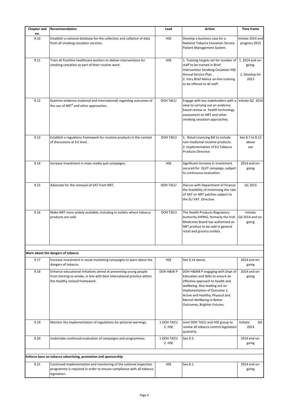| <b>Chapter and</b><br>no.                                      | Recommendation                                                                                                                                                                | Lead                 | <b>Action</b>                                                                                                                                                                                                                                                                | <b>Time frame</b>                                   |
|----------------------------------------------------------------|-------------------------------------------------------------------------------------------------------------------------------------------------------------------------------|----------------------|------------------------------------------------------------------------------------------------------------------------------------------------------------------------------------------------------------------------------------------------------------------------------|-----------------------------------------------------|
| 9.10                                                           | Establish a national database for the collection and collation of data<br>from all smoking cessation services.                                                                | <b>HSE</b>           | Develop a business case for a<br>National Tobacco Cessation Service<br>Patient Management System.                                                                                                                                                                            | Initiate 2014 and<br>progress 2015                  |
| 9.11                                                           | Train all frontline healthcare workers to deliver interventions for<br>smoking cessation as part of their routine work.                                                       | <b>HSE</b>           | 1. Training targets set for number of<br>staff to be trained in Brief<br>Intervention Smoking Cessation HSE<br>Annual Service Plan.<br>2. Very Brief Advice on-line training<br>to be offered to all staff.                                                                  | 1. 2014 and on-<br>going.<br>2. Develop for<br>2015 |
| 9.12                                                           | Examine evidence (national and international) regarding outcomes of<br>the use of NRT <sup>6</sup> and other approaches.                                                      | DOH TACU             | Engage with key stakeholders with a Initiate Q2 2014<br>view to carrying out an evidence<br>based review or health technology<br>assessment on NRT and other<br>smoking cessation approaches.                                                                                |                                                     |
| 9.13                                                           | Establish a regulatory framework for nicotine products in the context<br>of discussions at EU level.                                                                          | <b>DOH TACU</b>      | 1. Retail Licencing Bill to include<br>non-medicinal nicotine products.<br>2. Implementation of EU Tobacco<br>Products Directive.                                                                                                                                            | See 8.7 to 8.12<br>above<br>see                     |
| 9.14                                                           | Increase investment in mass media quit campaigns.                                                                                                                             | <b>HSE</b>           | Significant increase in investment<br>secured for QUIT campaign, subject<br>to continuous evaluation.                                                                                                                                                                        | 2014 and on-<br>going                               |
| 9.15                                                           | Advocate for the removal of VAT from NRT.                                                                                                                                     | DOH TACU             | Discuss with Department of Finance<br>the feasibility of minimising the rate<br>of VAT on NRT patches subject to<br>the EU VAT. Directive                                                                                                                                    | Q1 2015                                             |
| 9.16                                                           | Make NRT more widely available, including in outlets where tobacco<br>products are sold.                                                                                      | DOH TACU             | The Health Products Regulatory<br>Authority (HPRA), formerly the Irish<br>Medicines Board has authorised an<br>NRT product to be sold in general<br>retail and grocery outlets.                                                                                              | Initiate<br>Q3 2014 and on-<br>going                |
|                                                                | Warn about the dangers of tobacco                                                                                                                                             |                      |                                                                                                                                                                                                                                                                              |                                                     |
| 9.17                                                           | Increase investment in social marketing campaigns to warn about the<br>dangers of tobacco.                                                                                    | <b>HSE</b>           | See 9.14 above.                                                                                                                                                                                                                                                              | 2014 and on-<br>going                               |
| 9.18                                                           | Enhance educational initiatives aimed at preventing young people<br>from starting to smoke, in line with best international practice within<br>the Healthy Ireland framework. | DOH H&W P            | DOH H&WB P engaging with Dept of<br>Education and Skills to ensure an<br>effective approach to health and<br>wellbeing. Also leading out on<br>implementation of Outcome 1-<br>Active and Healthy, Physical and<br>Mental Wellbeing in Better<br>Outcomes, Brighter Futures. | 2014 and on-<br>going                               |
| 9.19                                                           | Monitor the implementation of regulations for pictorial warnings.                                                                                                             | 1.DOH TACU<br>2. HSE | Joint DOH TACU and HSE group to<br>review all tobacco control legislation<br>quarterly.                                                                                                                                                                                      | Initiate<br>Q4<br>2014                              |
| 9.20                                                           | Undertake continued evaluation of campaigns and programmes.                                                                                                                   | 1.DOH TACU<br>2. HSE | See 9.3.                                                                                                                                                                                                                                                                     | 2014 and on-<br>going                               |
| Enforce bans on tobacco advertising, promotion and sponsorship |                                                                                                                                                                               |                      |                                                                                                                                                                                                                                                                              |                                                     |
| 9.21                                                           | Continued implementation and monitoring of the national inspection<br>programme is required in order to ensure compliance with all tobacco<br>legislation.                    | <b>HSE</b>           | See 8.1.                                                                                                                                                                                                                                                                     | 2014 and on-<br>going                               |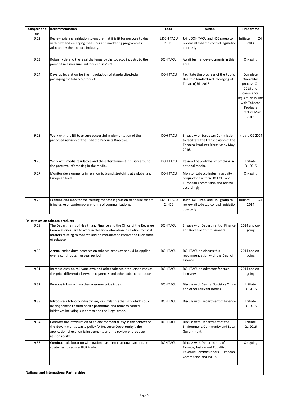| <b>Chapter and</b> | Recommendation                                                                                                                                                                                                                           | Lead                 | Action                                                                                                                  | <b>Time frame</b>                                                                                                                               |
|--------------------|------------------------------------------------------------------------------------------------------------------------------------------------------------------------------------------------------------------------------------------|----------------------|-------------------------------------------------------------------------------------------------------------------------|-------------------------------------------------------------------------------------------------------------------------------------------------|
| no.                |                                                                                                                                                                                                                                          |                      |                                                                                                                         |                                                                                                                                                 |
| 9.22               | Review existing legislation to ensure that it is fit for purpose to deal<br>with new and emerging measures and marketing programmes<br>adopted by the tobacco industry.                                                                  | 1.DOH TACU<br>2. HSE | Joint DOH TACU and HSE group to<br>review all tobacco control legislation<br>quarterly.                                 | Initiate<br>Q4<br>2014                                                                                                                          |
| 9.23               | Robustly defend the legal challenge by the tobacco industry to the<br>point of sale measures introduced in 2009.                                                                                                                         | DOH TACU             | Await further developments in this<br>area.                                                                             | On-going                                                                                                                                        |
| 9.24               | Develop legislation for the introduction of standardised/plain<br>packaging for tobacco products.                                                                                                                                        | DOH TACU             | Facilitate the progress of the Public<br>Health (Standardised Packaging of<br>Tobacco) Bill 2013.                       | Complete<br><b>Oireachtas</b><br>process Q1<br>2015 and<br>commence<br>legislation in line<br>with Tobacco<br>Products<br>Directive May<br>2016 |
| 9.25               | Work with the EU to ensure successful implementation of the<br>proposed revision of the Tobacco Products Directive.                                                                                                                      | <b>DOH TACU</b>      | Engage with European Commission<br>to facilitate the transposition of the<br>Tobacco Products Directive by May<br>2016. | Initiate Q2 2014                                                                                                                                |
| 9.26               | Work with media regulators and the entertainment industry around<br>the portrayal of smoking in the media.                                                                                                                               | <b>DOH TACU</b>      | Review the portrayal of smoking in<br>national media.                                                                   | Initiate<br>Q1 2015                                                                                                                             |
| 9.27               | Monitor developments in relation to brand stretching at a global and<br>European level.                                                                                                                                                  | DOH TACU             | Monitor tobacco industry activity in<br>conjunction with WHO FCTC and<br>European Commission and review<br>accordingly. | On-going                                                                                                                                        |
| 9.28               | Examine and monitor the existing tobacco legislation to ensure that it<br>is inclusive of contemporary forms of communications.                                                                                                          | 1.DOH TACU<br>2. HSE | Joint DOH TACU and HSE group to<br>review all tobacco control legislation<br>quarterly.                                 | Initiate<br>Q4<br>2014                                                                                                                          |
|                    | Raise taxes on tobacco products                                                                                                                                                                                                          |                      |                                                                                                                         |                                                                                                                                                 |
| 9.29               | The Departments of Health and Finance and the Office of the Revenue<br>Commissioners are to work in closer collaboration in relation to fiscal<br>matters relating to tobacco and on measures to reduce the illicit trade<br>of tobacco. | DOH TACU             | Engage with Department of Finance<br>and Revenue Commissioners.                                                         | 2014 and on-<br>going                                                                                                                           |
| 9.30               | Annual excise duty increases on tobacco products should be applied<br>over a continuous five year period.                                                                                                                                | DOH TACU             | DOH TACU to discuss this<br>recommendation with the Dept of<br>Finance.                                                 | 2014 and on-<br>going                                                                                                                           |
| 9.31               | Increase duty on roll-your-own and other tobacco products to reduce<br>the price differential between cigarettes and other tobacco products.                                                                                             | DOH TACU             | DOH TACU to advocate for such<br>increases.                                                                             | 2014 and on-<br>going                                                                                                                           |
| 9.32               | Remove tobacco from the consumer price index.                                                                                                                                                                                            | <b>DOH TACU</b>      | Discuss with Central Statistics Office<br>and other relevant bodies.                                                    | Initiate<br>Q1 2015                                                                                                                             |
| 9.33               | Introduce a tobacco industry levy or similar mechanism which could<br>be ring fenced to fund health promotion and tobacco control<br>initiatives including support to end the illegal trade.                                             | DOH TACU             | Discuss with Department of Finance.                                                                                     | Initiate<br>Q1 2015                                                                                                                             |
| 9.34               | Consider the introduction of an environmental levy in the context of<br>the Government's waste policy "A Resource Opportunity", the<br>application of economic instruments and the review of producer<br>responsibility.                 | <b>DOH TACU</b>      | Discuss with Department of the<br>Environment, Community and Local<br>Government.                                       | Initiate<br>Q1 2016                                                                                                                             |
| 9.35               | Continue collaboration with national and international partners on<br>strategies to reduce illicit trade.                                                                                                                                | <b>DOH TACU</b>      | Discuss with Departments of<br>Finance, Justice and Equality,<br>Revenue Commissioners, European<br>Commission and WHO. | On-going                                                                                                                                        |
|                    | National and International Partnerships                                                                                                                                                                                                  |                      |                                                                                                                         |                                                                                                                                                 |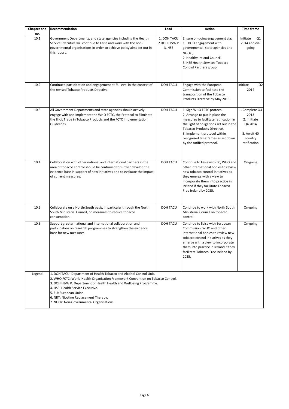| <b>Chapter and</b> | Recommendation                                                                                                                                                                                                                                                                                                                                                                   | Lead                                 | Action                                                                                                                                                                                                                                                                                    | <b>Time frame</b>                                                                          |
|--------------------|----------------------------------------------------------------------------------------------------------------------------------------------------------------------------------------------------------------------------------------------------------------------------------------------------------------------------------------------------------------------------------|--------------------------------------|-------------------------------------------------------------------------------------------------------------------------------------------------------------------------------------------------------------------------------------------------------------------------------------------|--------------------------------------------------------------------------------------------|
| no.                |                                                                                                                                                                                                                                                                                                                                                                                  |                                      |                                                                                                                                                                                                                                                                                           |                                                                                            |
| 10.1               | Government Departments, and state agencies including the Health<br>Service Executive will continue to liaise and work with the non-<br>governmental organisations in order to achieve policy aims set out in<br>this report.                                                                                                                                                     | 1. DOH TACU<br>2 DOH H&W P<br>3. HSE | Ensure on-going engagement via:<br>1. DOH engagement with<br>governmental, state agencies and<br>$NGOs^{\prime}$ ,<br>2. Healthy Ireland Council,<br>3. HSE Health Services Tobacco<br>Control Partners group.                                                                            | Initiate<br>Q1<br>2014 and on-<br>going                                                    |
| 10.2               | Continued participation and engagement at EU level in the context of<br>the revised Tobacco Products Directive.                                                                                                                                                                                                                                                                  | DOH TACU                             | Engage with the European<br>Commission to facilitate the<br>transposition of the Tobacco<br>Products Directive by May 2016.                                                                                                                                                               | Q <sub>2</sub><br>Initiate<br>2014                                                         |
| 10.3               | All Government Departments and state agencies should actively<br>engage with and implement the WHO FCTC, the Protocol to Eliminate<br>the Illicit Trade in Tobacco Products and the FCTC Implementation<br>Guidelines.                                                                                                                                                           | DOH TACU                             | 1. Sign WHO FCTC protocol.<br>2. Arrange to put in place the<br>measures to facilitate ratification in<br>the light of obligations set out in the<br><b>Tobacco Products Directive.</b><br>3. Implement protocol within<br>recognised timeframes as set down<br>by the ratified protocol. | 1. Complete Q4<br>2013<br>2. Initiate<br>Q4 2014<br>3. Await 40<br>country<br>ratification |
| 10.4               | Collaboration with other national and international partners in the<br>area of tobacco control should be continued to further develop the<br>evidence base in support of new initiatives and to evaluate the impact<br>of current measures.                                                                                                                                      | DOH TACU                             | Continue to liaise with EC, WHO and<br>other international bodies to review<br>new tobacco control initiatives as<br>they emerge with a view to<br>incorporate them into practice in<br>Ireland if they facilitate Tobacco<br>Free Ireland by 2025.                                       | On-going                                                                                   |
| 10.5               | Collaborate on a North/South basis, in particular through the North<br>South Ministerial Council, on measures to reduce tobacco<br>consumption.                                                                                                                                                                                                                                  | DOH TACU                             | Continue to work with North South<br>Ministerial Council on tobacco<br>control.                                                                                                                                                                                                           | On-going                                                                                   |
| 10.6               | Support greater national and international collaboration and<br>participation on research programmes to strengthen the evidence<br>base for new measures.                                                                                                                                                                                                                        | DOH TACU                             | Continue to liaise with European<br>Commission, WHO and other<br>international bodies to review new<br>tobacco control initiatives as they<br>emerge with a view to incorporate<br>them into practice in Ireland if they<br>facilitate Tobacco Free Ireland by<br>2025.                   | On-going                                                                                   |
| Legend             | 1. DOH TACU: Department of Health Tobacco and Alcohol Control Unit.<br>2. WHO FCTC: World Health Organisation Framework Convention on Tobacco Control.<br>3. DOH H&W P: Department of Health Health and Wellbeing Programme.<br>4. HSE: Health Service Executive.<br>5. EU: European Union.<br>6. NRT: Nicotine Replacement Therapy.<br>7. NGOs: Non-Governmental Organisations. |                                      |                                                                                                                                                                                                                                                                                           |                                                                                            |